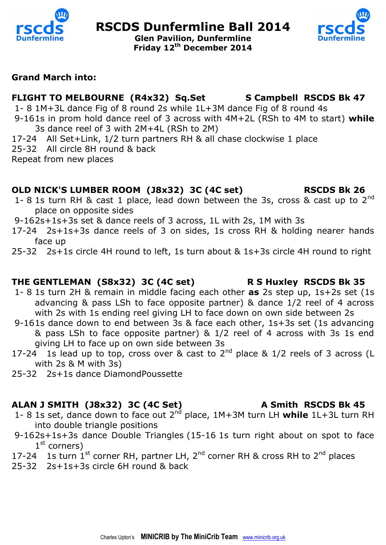

# **RSCDS Dunfermline Ball 2014**





#### **Grand March into:**

# FLIGHT TO MELBOURNE (R4x32) Sq.Set S Campbell RSCDS Bk 47

- 1- 8 1M+3L dance Fig of 8 round 2s while 1L+3M dance Fig of 8 round 4s 9-161s in prom hold dance reel of 3 across with 4M+2L (RSh to 4M to start) **while** 
	- 3s dance reel of 3 with 2M+4L (RSh to 2M)
- 17-24 All Set+Link, 1/2 turn partners RH & all chase clockwise 1 place
- 25-32 All circle 8H round & back
- Repeat from new places

#### **OLD NICK'S LUMBER ROOM (J8x32) 3C (4C set) RSCDS Bk 26**

- 1- 8 1s turn RH & cast 1 place, lead down between the 3s, cross & cast up to  $2^{nd}$ place on opposite sides
- 9-162s+1s+3s set & dance reels of 3 across, 1L with 2s, 1M with 3s
- 17-24 2s+1s+3s dance reels of 3 on sides, 1s cross RH & holding nearer hands face up
- 25-32 2s+1s circle 4H round to left, 1s turn about & 1s+3s circle 4H round to right

# **THE GENTLEMAN (S8x32) 3C (4C set) R S Huxley RSCDS Bk 35**

- 1- 8 1s turn 2H & remain in middle facing each other **as** 2s step up, 1s+2s set (1s advancing & pass LSh to face opposite partner) & dance 1/2 reel of 4 across with 2s with 1s ending reel giving LH to face down on own side between 2s
- 9-161s dance down to end between 3s & face each other, 1s+3s set (1s advancing & pass LSh to face opposite partner) & 1/2 reel of 4 across with 3s 1s end giving LH to face up on own side between 3s
- 17-24 1s lead up to top, cross over & cast to  $2^{nd}$  place & 1/2 reels of 3 across (L with 2s & M with 3s)
- 25-32 2s+1s dance DiamondPoussette

#### ALAN J SMITH (J8x32) 3C (4C Set) A Smith RSCDS Bk 45

- 1- 8 1s set, dance down to face out 2nd place, 1M+3M turn LH **while** 1L+3L turn RH into double triangle positions
- 9-162s+1s+3s dance Double Triangles (15-16 1s turn right about on spot to face 1<sup>st</sup> corners)
- 17-24 1s turn  $1^{st}$  corner RH, partner LH, 2<sup>nd</sup> corner RH & cross RH to 2<sup>nd</sup> places
- 25-32 2s+1s+3s circle 6H round & back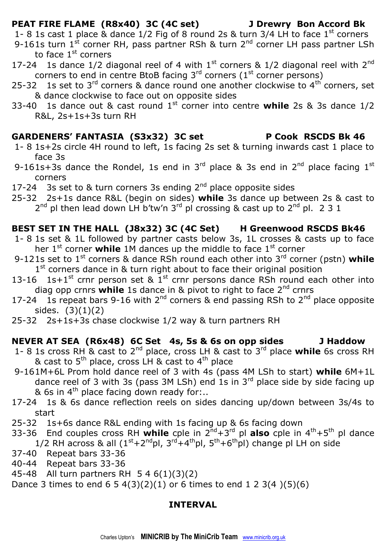### **PEAT FIRE FLAME (R8x40) 3C (4C set) J Drewry Bon Accord Bk**

1- 8 1s cast 1 place & dance  $1/2$  Fig of 8 round 2s & turn 3/4 LH to face  $1<sup>st</sup>$  corners

- 9-161s turn 1<sup>st</sup> corner RH, pass partner RSh & turn 2<sup>nd</sup> corner LH pass partner LSh to face  $1<sup>st</sup>$  corners
- 17-24 1s dance  $1/2$  diagonal reel of 4 with  $1^{st}$  corners &  $1/2$  diagonal reel with  $2^{nd}$ corners to end in centre BtoB facing  $3<sup>rd</sup>$  corners (1<sup>st</sup> corner persons)
- 25-32 1s set to 3<sup>rd</sup> corners & dance round one another clockwise to 4<sup>th</sup> corners, set & dance clockwise to face out on opposite sides
- 33-40 1s dance out & cast round 1st corner into centre **while** 2s & 3s dance 1/2 R&L, 2s+1s+3s turn RH

#### **GARDENERS' FANTASIA (S3x32) 3C set P Cook RSCDS Bk 46**

- 1- 8 1s+2s circle 4H round to left, 1s facing 2s set & turning inwards cast 1 place to face 3s
- 9-161s+3s dance the Rondel, 1s end in  $3<sup>rd</sup>$  place & 3s end in  $2<sup>nd</sup>$  place facing  $1<sup>st</sup>$ corners
- 17-24 3s set to  $&$  turn corners 3s ending  $2<sup>nd</sup>$  place opposite sides
- 25-32 2s+1s dance R&L (begin on sides) **while** 3s dance up between 2s & cast to  $2^{nd}$  pl then lead down LH b'tw'n  $3^{rd}$  pl crossing & cast up to  $2^{nd}$  pl. 2 3 1

### **BEST SET IN THE HALL (J8x32) 3C (4C Set) H Greenwood RSCDS Bk46**

- 1- 8 1s set & 1L followed by partner casts below 3s, 1L crosses & casts up to face her 1<sup>st</sup> corner **while** 1M dances up the middle to face 1<sup>st</sup> corner
- 9-121s set to 1st corners & dance RSh round each other into 3rd corner (pstn) **while**  1<sup>st</sup> corners dance in & turn right about to face their original position
- 13-16 1s+1<sup>st</sup> crnr person set &  $1^{st}$  crnr persons dance RSh round each other into diag opp crnrs **while** 1s dance in & pivot to right to face 2nd crnrs
- 17-24 1s repeat bars 9-16 with  $2^{nd}$  corners & end passing RSh to  $2^{nd}$  place opposite sides. (3)(1)(2)
- 25-32 2s+1s+3s chase clockwise 1/2 way & turn partners RH

## **NEVER AT SEA (R6x48) 6C Set 4s, 5s & 6s on opp sides J Haddow**

- 1- 8 1s cross RH & cast to 2nd place, cross LH & cast to 3rd place **while** 6s cross RH & cast to  $5<sup>th</sup>$  place, cross LH & cast to  $4<sup>th</sup>$  place
- 9-161M+6L Prom hold dance reel of 3 with 4s (pass 4M LSh to start) **while** 6M+1L dance reel of 3 with 3s (pass 3M LSh) end 1s in  $3^{rd}$  place side by side facing up & 6s in  $4<sup>th</sup>$  place facing down ready for:..
- 17-24 1s & 6s dance reflection reels on sides dancing up/down between 3s/4s to start
- 25-32 1s+6s dance R&L ending with 1s facing up & 6s facing down
- 33-36 End couples cross RH **while** cple in 2nd+3rd pl **also** cple in 4th+5th pl dance 1/2 RH across & all  $(1<sup>st</sup>+2<sup>nd</sup>pl, 3<sup>rd</sup>+4<sup>th</sup>pl, 5<sup>th</sup>+6<sup>th</sup>pl)$  change pl LH on side
- 37-40 Repeat bars 33-36
- 40-44 Repeat bars 33-36
- 45-48 All turn partners RH 5 4 6(1)(3)(2)
- Dance 3 times to end  $6\ 5\ 4(3)(2)(1)$  or 6 times to end  $1\ 2\ 3(4)(5)(6)$

#### **INTERVAL**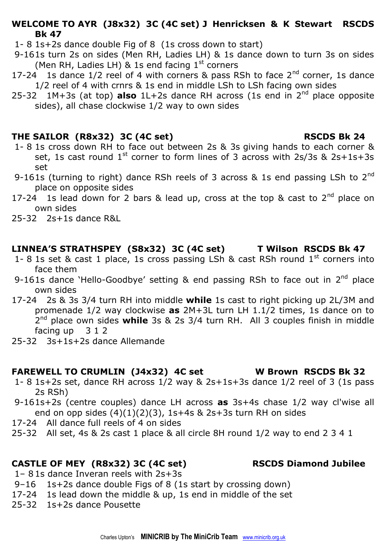#### **WELCOME TO AYR (J8x32) 3C (4C set) J Henricksen & K Stewart RSCDS Bk 47**

- 1- 8 1s+2s dance double Fig of 8 (1s cross down to start)
- 9-161s turn 2s on sides (Men RH, Ladies LH) & 1s dance down to turn 3s on sides (Men RH, Ladies LH)  $\&$  1s end facing 1<sup>st</sup> corners
- 17-24 1s dance  $1/2$  reel of 4 with corners & pass RSh to face  $2<sup>nd</sup>$  corner, 1s dance 1/2 reel of 4 with crnrs & 1s end in middle LSh to LSh facing own sides
- 25-32 1M+3s (at top) **also** 1L+2s dance RH across (1s end in 2nd place opposite sides), all chase clockwise 1/2 way to own sides

### **THE SAILOR (R8x32) 3C (4C set) RSCDS Bk 24**

- 1- 8 1s cross down RH to face out between 2s & 3s giving hands to each corner & set, 1s cast round  $1^{st}$  corner to form lines of 3 across with 2s/3s & 2s+1s+3s set
- 9-161s (turning to right) dance RSh reels of 3 across  $\&$  1s end passing LSh to 2<sup>nd</sup> place on opposite sides
- 17-24 1s lead down for 2 bars & lead up, cross at the top & cast to  $2^{nd}$  place on own sides
- 25-32 2s+1s dance R&L

## **LINNEA'S STRATHSPEY (S8x32) 3C (4C set) T Wilson RSCDS Bk 47**

- 1- 8 1s set & cast 1 place, 1s cross passing LSh & cast RSh round  $1^{st}$  corners into face them
- 9-161s dance 'Hello-Goodbye' setting & end passing RSh to face out in 2<sup>nd</sup> place own sides
- 17-24 2s & 3s 3/4 turn RH into middle **while** 1s cast to right picking up 2L/3M and promenade 1/2 way clockwise **as** 2M+3L turn LH 1.1/2 times, 1s dance on to 2 nd place own sides **while** 3s & 2s 3/4 turn RH. All 3 couples finish in middle facing up 3 1 2
- 25-32 3s+1s+2s dance Allemande

# **FAREWELL TO CRUMLIN (J4x32) 4C set W Brown RSCDS Bk 32**

- 1- 8 1s+2s set, dance RH across 1/2 way & 2s+1s+3s dance 1/2 reel of 3 (1s pass 2s RSh)
- 9-161s+2s (centre couples) dance LH across **as** 3s+4s chase 1/2 way cl'wise all end on opp sides  $(4)(1)(2)(3)$ , 1s+4s & 2s+3s turn RH on sides
- 17-24 All dance full reels of 4 on sides
- 25-32 All set, 4s & 2s cast 1 place & all circle 8H round 1/2 way to end 2 3 4 1

# **CASTLE OF MEY (R8x32) 3C (4C set) RSCDS Diamond Jubilee**

- 1– 8 1s dance Inveran reels with 2s+3s
- 9–16 1s+2s dance double Figs of 8 (1s start by crossing down)
- 17-24 1s lead down the middle & up, 1s end in middle of the set
- 25-32 1s+2s dance Pousette